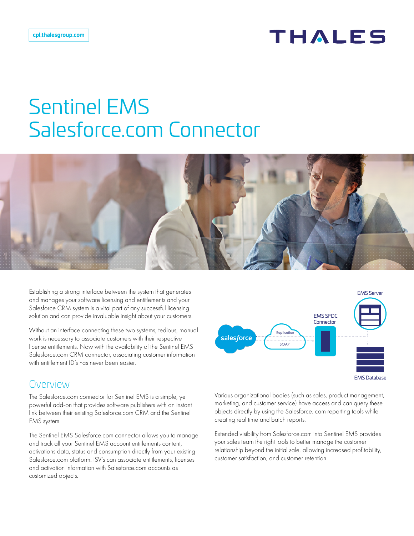# **THALES**

# Sentinel EMS Salesforce.com Connector



Establishing a strong interface between the system that generates and manages your software licensing and entitlements and your Salesforce CRM system is a vital part of any successful licensing solution and can provide invaluable insight about your customers.

Without an interface connecting these two systems, tedious, manual work is necessary to associate customers with their respective license entitlements. Now with the availability of the Sentinel EMS Salesforce.com CRM connector, associating customer information with entitlement ID's has never been easier.

## Overview

The Salesforce.com connector for Sentinel EMS is a simple, yet powerful add-on that provides software publishers with an instant link between their existing Salesforce.com CRM and the Sentinel EMS system.

The Sentinel EMS Salesforce.com connector allows you to manage and track all your Sentinel EMS account entitlements content, activations data, status and consumption directly from your existing Salesforce.com platform. ISV's can associate entitlements, licenses and activation information with Salesforce.com accounts as customized objects.



Various organizational bodies (such as sales, product management, marketing, and customer service) have access and can query these objects directly by using the Salesforce. com reporting tools while creating real time and batch reports.

Extended visibility from Salesforce.com into Sentinel EMS provides your sales team the right tools to better manage the customer relationship beyond the initial sale, allowing increased profitability, customer satisfaction, and customer retention.